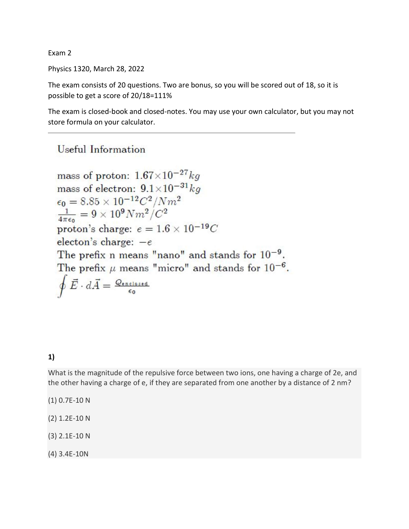Exam 2

Physics 1320, March 28, 2022

The exam consists of 20 questions. Two are bonus, so you will be scored out of 18, so it is possible to get a score of 20/18=111%

The exam is closed-book and closed-notes. You may use your own calculator, but you may not store formula on your calculator.

# Useful Information

mass of proton:  $1.67\times10^{-27}$  kg mass of electron:  $9.1 \times 10^{-31}$  kg  $\epsilon_0 = 8.85 \times 10^{-12} C^2 / N m^2$  $\frac{1}{4\pi\epsilon_0} = 9 \times 10^9 N m^2/C^2$ proton's charge:  $e = 1.6 \times 10^{-19}C$ electon's charge:  $-e$ The prefix n means "nano" and stands for  $10^{-9}$ . The prefix  $\mu$  means "micro" and stands for  $10^{-6}$ .  $\oint \vec{E} \cdot d\vec{A} = \frac{Q_{\text{enclosed}}}{\epsilon_0}$ 

#### 1)

What is the magnitude of the repulsive force between two ions, one having a charge of 2e, and the other having a charge of e, if they are separated from one another by a distance of 2 nm?

(1) 0.7E-10 N

(2) 1.2E-10 N

(3) 2.1E-10 N

(4) 3.4E-10N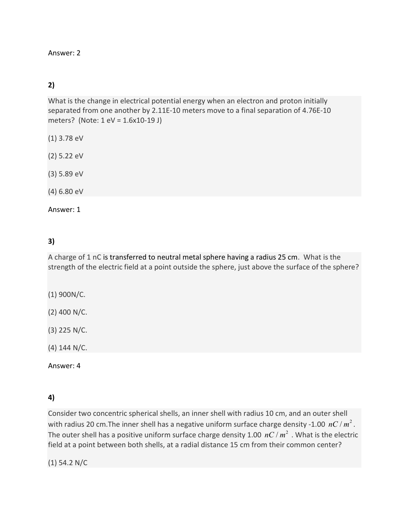#### Answer: 2

### 2)

What is the change in electrical potential energy when an electron and proton initially separated from one another by 2.11E-10 meters move to a final separation of 4.76E-10 meters? (Note: 1 eV = 1.6x10-19 J)

- (1) 3.78 eV
- (2) 5.22 eV
- (3) 5.89 eV
- (4) 6.80 eV

Answer: 1

### 3)

A charge of 1 nC is transferred to neutral metal sphere having a radius 25 cm. What is the strength of the electric field at a point outside the sphere, just above the surface of the sphere?

- (1) 900N/C.
- (2) 400 N/C.
- (3) 225 N/C.

(4) 144 N/C.

Answer: 4

### 4)

Consider two concentric spherical shells, an inner shell with radius 10 cm, and an outer shell with radius 20 cm. The inner shell has a negative uniform surface charge density -1.00  $nC/m^2$ . The outer shell has a positive uniform surface charge density 1.00  $nC/m^2$  . What is the electric field at a point between both shells, at a radial distance 15 cm from their common center?

(1) 54.2 N/C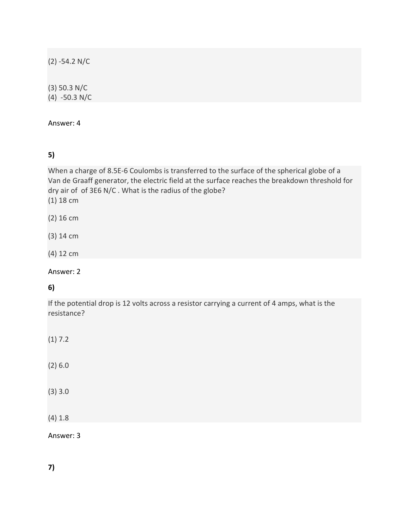(2) -54.2 N/C

(3) 50.3 N/C (4) -50.3 N/C

Answer: 4

# 5)

When a charge of 8.5E-6 Coulombs is transferred to the surface of the spherical globe of a Van de Graaff generator, the electric field at the surface reaches the breakdown threshold for dry air of of 3E6 N/C . What is the radius of the globe?

(1) 18 cm

- (2) 16 cm
- (3) 14 cm
- (4) 12 cm

Answer: 2

#### 6)

If the potential drop is 12 volts across a resistor carrying a current of 4 amps, what is the resistance?

| (1) 7.2   |  |  |
|-----------|--|--|
| (2) 6.0   |  |  |
| (3)3.0    |  |  |
| (4) 1.8   |  |  |
| Answer: 3 |  |  |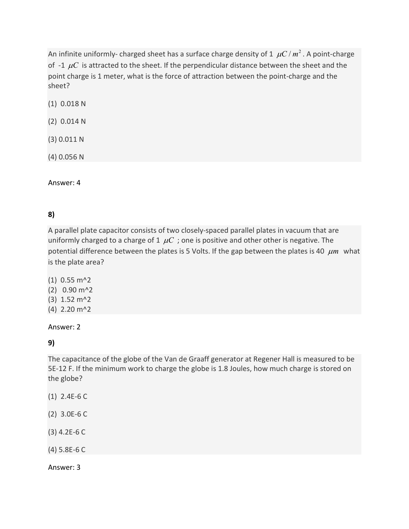An infinite uniformly- charged sheet has a surface charge density of 1  $\mu$ C /  $m^2$ . A point-charge of -1  $\mu$ C is attracted to the sheet. If the perpendicular distance between the sheet and the point charge is 1 meter, what is the force of attraction between the point-charge and the sheet?

(1) 0.018 N

(2) 0.014 N

(3) 0.011 N

(4) 0.056 N

Answer: 4

### 8)

A parallel plate capacitor consists of two closely-spaced parallel plates in vacuum that are uniformly charged to a charge of 1  $\mu$ C ; one is positive and other other is negative. The potential difference between the plates is 5 Volts. If the gap between the plates is 40  $\mu$ m what is the plate area?

(1) 0.55 m^2 (2) 0.90 m^2 (3) 1.52 m^2 (4) 2.20 m^2

#### Answer: 2

9)

The capacitance of the globe of the Van de Graaff generator at Regener Hall is measured to be 5E-12 F. If the minimum work to charge the globe is 1.8 Joules, how much charge is stored on the globe?

- (1) 2.4E-6 C
- (2) 3.0E-6 C
- (3) 4.2E-6 C
- (4) 5.8E-6 C

Answer: 3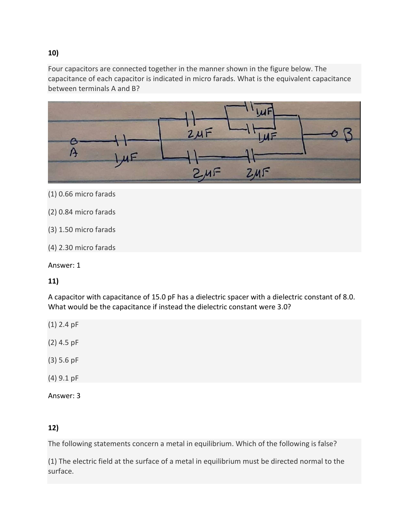Four capacitors are connected together in the manner shown in the figure below. The capacitance of each capacitor is indicated in micro farads. What is the equivalent capacitance between terminals A and B?



- (1) 0.66 micro farads
- (2) 0.84 micro farads
- (3) 1.50 micro farads
- (4) 2.30 micro farads

Answer: 1

### 11)

A capacitor with capacitance of 15.0 pF has a dielectric spacer with a dielectric constant of 8.0. What would be the capacitance if instead the dielectric constant were 3.0?

- (1) 2.4 pF
- (2) 4.5 pF
- (3) 5.6 pF
- (4) 9.1 pF
- Answer: 3

### 12)

The following statements concern a metal in equilibrium. Which of the following is false?

(1) The electric field at the surface of a metal in equilibrium must be directed normal to the surface.

#### 10)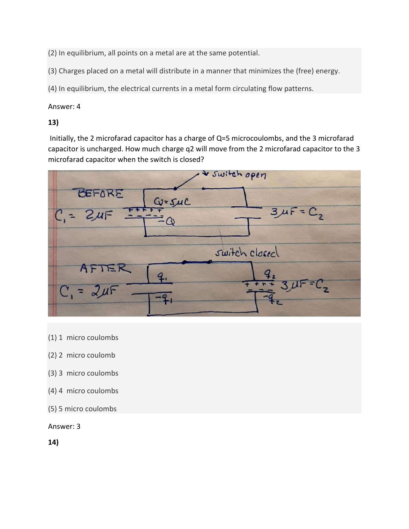(2) In equilibrium, all points on a metal are at the same potential.

(3) Charges placed on a metal will distribute in a manner that minimizes the (free) energy.

(4) In equilibrium, the electrical currents in a metal form circulating flow patterns.

#### Answer: 4

### 13)

 Initially, the 2 microfarad capacitor has a charge of Q=5 microcoulombs, and the 3 microfarad capacitor is uncharged. How much charge q2 will move from the 2 microfarad capacitor to the 3 microfarad capacitor when the switch is closed?



- (1) 1 micro coulombs
- (2) 2 micro coulomb
- (3) 3 micro coulombs
- (4) 4 micro coulombs
- (5) 5 micro coulombs

#### Answer: 3

14)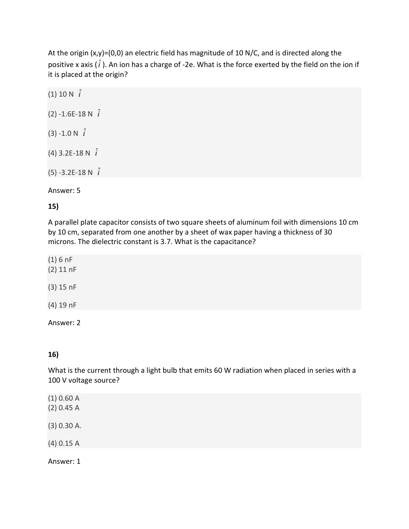At the origin (x,y)=(0,0) an electric field has magnitude of 10 N/C, and is directed along the positive x axis ( $\hat{i}$ ). An ion has a charge of -2e. What is the force exerted by the field on the ion if it is placed at the origin?

| (1) 10 N $\hat{i}$       |
|--------------------------|
| (2) -1.6E-18 N $\hat{i}$ |
| $(3) -1.0 N \hat{i}$     |
| (4) 3.2E-18 N $\hat{i}$  |
| (5) -3.2E-18 N $\hat{i}$ |

Answer: 5

#### 15)

A parallel plate capacitor consists of two square sheets of aluminum foil with dimensions 10 cm by 10 cm, separated from one another by a sheet of wax paper having a thickness of 30 microns. The dielectric constant is 3.7. What is the capacitance?

| (1) 6 nF<br>$(2)$ 11 nF |  |
|-------------------------|--|
| $(3)$ 15 nF             |  |
| $(4)$ 19 nF             |  |

#### Answer: 2

### 16)

What is the current through a light bulb that emits 60 W radiation when placed in series with a 100 V voltage source?

| (1) 0.60 A<br>(2) 0.45 A |  |  |  |
|--------------------------|--|--|--|
| $(3)$ 0.30 A.            |  |  |  |
| $(4)$ 0.15 A             |  |  |  |
| Answer: 1                |  |  |  |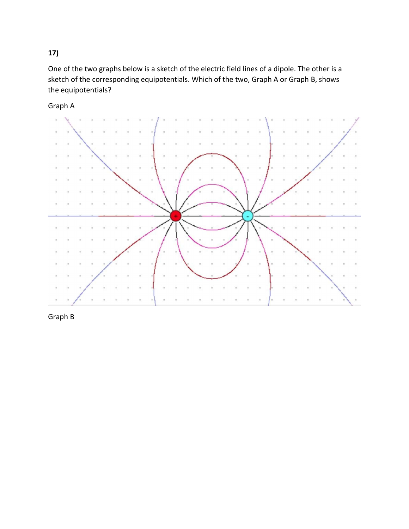# 17)

One of the two graphs below is a sketch of the electric field lines of a dipole. The other is a sketch of the corresponding equipotentials. Which of the two, Graph A or Graph B, shows the equipotentials?

Graph A



Graph B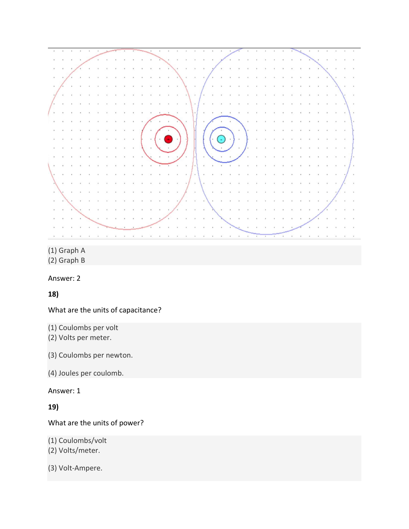

(1) Graph A

(2) Graph B

Answer: 2

18)

What are the units of capacitance?

(1) Coulombs per volt

(2) Volts per meter.

(3) Coulombs per newton.

(4) Joules per coulomb.

Answer: 1

19)

What are the units of power?

(1) Coulombs/volt

(2) Volts/meter.

(3) Volt-Ampere.